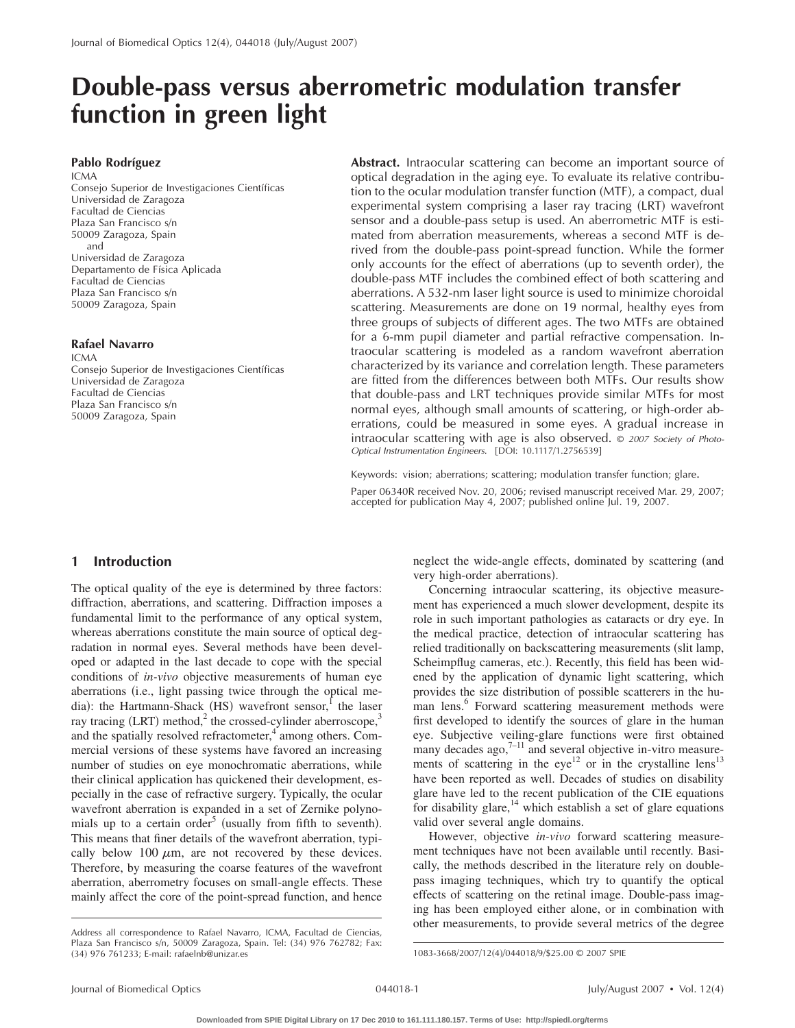# **Double-pass versus aberrometric modulation transfer function in green light**

## **Pablo Rodríguez**

ICMA Consejo Superior de Investigaciones Científicas Universidad de Zaragoza Facultad de Ciencias Plaza San Francisco s/n 50009 Zaragoza, Spain and Universidad de Zaragoza Departamento de Física Aplicada Facultad de Ciencias Plaza San Francisco s/n 50009 Zaragoza, Spain

#### **Rafael Navarro**

ICMA Consejo Superior de Investigaciones Científicas Universidad de Zaragoza Facultad de Ciencias Plaza San Francisco s/n 50009 Zaragoza, Spain

**Abstract.** Intraocular scattering can become an important source of optical degradation in the aging eye. To evaluate its relative contribution to the ocular modulation transfer function (MTF), a compact, dual experimental system comprising a laser ray tracing (LRT) wavefront sensor and a double-pass setup is used. An aberrometric MTF is estimated from aberration measurements, whereas a second MTF is derived from the double-pass point-spread function. While the former only accounts for the effect of aberrations (up to seventh order), the double-pass MTF includes the combined effect of both scattering and aberrations. A 532-nm laser light source is used to minimize choroidal scattering. Measurements are done on 19 normal, healthy eyes from three groups of subjects of different ages. The two MTFs are obtained for a 6-mm pupil diameter and partial refractive compensation. Intraocular scattering is modeled as a random wavefront aberration characterized by its variance and correlation length. These parameters are fitted from the differences between both MTFs. Our results show that double-pass and LRT techniques provide similar MTFs for most normal eyes, although small amounts of scattering, or high-order aberrations, could be measured in some eyes. A gradual increase in intraocular scattering with age is also observed. © *2007 Society of Photo-Optical Instrumentation Engineers.* [DOI: 10.1117/1.2756539]

Keywords: vision; aberrations; scattering; modulation transfer function; glare.

Paper 06340R received Nov. 20, 2006; revised manuscript received Mar. 29, 2007; accepted for publication May 4, 2007; published online Jul. 19, 2007.

## **1 Introduction**

The optical quality of the eye is determined by three factors: diffraction, aberrations, and scattering. Diffraction imposes a fundamental limit to the performance of any optical system, whereas aberrations constitute the main source of optical degradation in normal eyes. Several methods have been developed or adapted in the last decade to cope with the special conditions of *in-vivo* objective measurements of human eye aberrations (i.e., light passing twice through the optical media): the Hartmann-Shack (HS) wavefront sensor,<sup>1</sup> the laser ray tracing (LRT) method,<sup>2</sup> the crossed-cylinder aberroscope,<sup>3</sup> and the spatially resolved refractometer, $4$  among others. Commercial versions of these systems have favored an increasing number of studies on eye monochromatic aberrations, while their clinical application has quickened their development, especially in the case of refractive surgery. Typically, the ocular wavefront aberration is expanded in a set of Zernike polynomials up to a certain order<sup>5</sup> (usually from fifth to seventh). This means that finer details of the wavefront aberration, typically below 100  $\mu$ m, are not recovered by these devices. Therefore, by measuring the coarse features of the wavefront aberration, aberrometry focuses on small-angle effects. These mainly affect the core of the point-spread function, and hence

neglect the wide-angle effects, dominated by scattering (and very high-order aberrations).

Concerning intraocular scattering, its objective measurement has experienced a much slower development, despite its role in such important pathologies as cataracts or dry eye. In the medical practice, detection of intraocular scattering has relied traditionally on backscattering measurements (slit lamp, Scheimpflug cameras, etc.). Recently, this field has been widened by the application of dynamic light scattering, which provides the size distribution of possible scatterers in the human lens.<sup>6</sup> Forward scattering measurement methods were first developed to identify the sources of glare in the human eye. Subjective veiling-glare functions were first obtained many decades ago, $7-11$  and several objective in-vitro measurements of scattering in the eye<sup>12</sup> or in the crystalline lens<sup>13</sup> have been reported as well. Decades of studies on disability glare have led to the recent publication of the CIE equations for disability glare, $14$  which establish a set of glare equations valid over several angle domains.

However, objective *in-vivo* forward scattering measurement techniques have not been available until recently. Basically, the methods described in the literature rely on doublepass imaging techniques, which try to quantify the optical effects of scattering on the retinal image. Double-pass imaging has been employed either alone, or in combination with other measurements, to provide several metrics of the degree

Address all correspondence to Rafael Navarro, ICMA, Facultad de Ciencias, Plaza San Francisco s/n, 50009 Zaragoza, Spain. Tel: (34) 976 762782; Fax: (34) 976 761233; E-mail: rafaelnb@unizar.es

<sup>1083-3668/2007/12(4)/044018/9/\$25.00 © 2007</sup> SPIE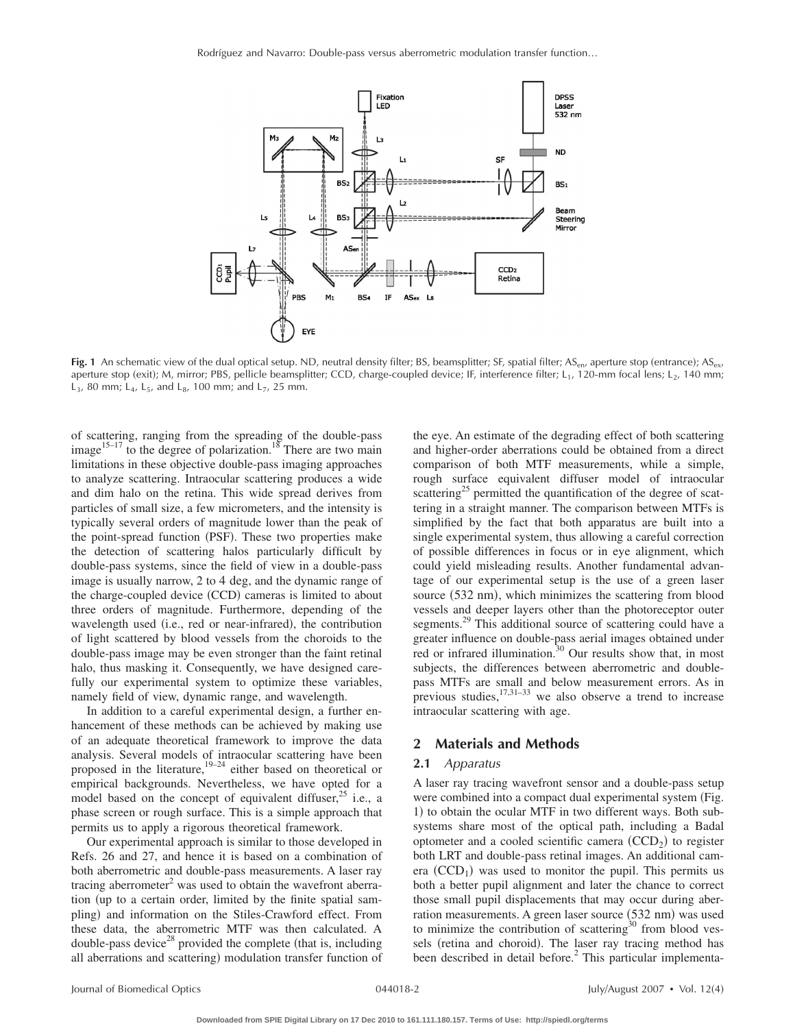

**Fig. 1** An schematic view of the dual optical setup. ND, neutral density filter; BS, beamsplitter; SF, spatial filter; AS<sub>en</sub>, aperture stop (entrance); AS<sub>ex</sub>, aperture stop (exit); M, mirror; PBS, pellicle beamsplitter; CCD, charge-coupled device; IF, interference filter; L<sub>1</sub>, 120-mm focal lens; L<sub>2</sub>, 140 mm;  $L_3$ , 80 mm;  $L_4$ ,  $L_5$ , and  $L_8$ , 100 mm; and  $L_7$ , 25 mm.

of scattering, ranging from the spreading of the double-pass image<sup>15–17</sup> to the degree of polarization.<sup>18</sup> There are two main limitations in these objective double-pass imaging approaches to analyze scattering. Intraocular scattering produces a wide and dim halo on the retina. This wide spread derives from particles of small size, a few micrometers, and the intensity is typically several orders of magnitude lower than the peak of the point-spread function (PSF). These two properties make the detection of scattering halos particularly difficult by double-pass systems, since the field of view in a double-pass image is usually narrow, 2 to 4 deg, and the dynamic range of the charge-coupled device (CCD) cameras is limited to about three orders of magnitude. Furthermore, depending of the wavelength used (i.e., red or near-infrared), the contribution of light scattered by blood vessels from the choroids to the double-pass image may be even stronger than the faint retinal halo, thus masking it. Consequently, we have designed carefully our experimental system to optimize these variables, namely field of view, dynamic range, and wavelength.

In addition to a careful experimental design, a further enhancement of these methods can be achieved by making use of an adequate theoretical framework to improve the data analysis. Several models of intraocular scattering have been proposed in the literature, $19-24$  either based on theoretical or empirical backgrounds. Nevertheless, we have opted for a model based on the concept of equivalent diffuser,  $2^5$  i.e., a phase screen or rough surface. This is a simple approach that permits us to apply a rigorous theoretical framework.

Our experimental approach is similar to those developed in Refs. 26 and 27, and hence it is based on a combination of both aberrometric and double-pass measurements. A laser ray tracing aberrometer $2$  was used to obtain the wavefront aberration (up to a certain order, limited by the finite spatial sampling) and information on the Stiles-Crawford effect. From these data, the aberrometric MTF was then calculated. A double-pass device<sup>28</sup> provided the complete (that is, including all aberrations and scattering) modulation transfer function of

the eye. An estimate of the degrading effect of both scattering and higher-order aberrations could be obtained from a direct comparison of both MTF measurements, while a simple, rough surface equivalent diffuser model of intraocular scattering<sup>25</sup> permitted the quantification of the degree of scattering in a straight manner. The comparison between MTFs is simplified by the fact that both apparatus are built into a single experimental system, thus allowing a careful correction of possible differences in focus or in eye alignment, which could yield misleading results. Another fundamental advantage of our experimental setup is the use of a green laser source (532 nm), which minimizes the scattering from blood vessels and deeper layers other than the photoreceptor outer segments.<sup>29</sup> This additional source of scattering could have a greater influence on double-pass aerial images obtained under red or infrared illumination.<sup>30</sup> Our results show that, in most subjects, the differences between aberrometric and doublepass MTFs are small and below measurement errors. As in pass  $M113$  are small and below measurement errors. The inintraocular scattering with age.

# **2 Materials and Methods**

## **2.1** *Apparatus*

A laser ray tracing wavefront sensor and a double-pass setup were combined into a compact dual experimental system (Fig. 1) to obtain the ocular MTF in two different ways. Both subsystems share most of the optical path, including a Badal optometer and a cooled scientific camera  $(CCD<sub>2</sub>)$  to register both LRT and double-pass retinal images. An additional camera  $(CCD<sub>1</sub>)$  was used to monitor the pupil. This permits us both a better pupil alignment and later the chance to correct those small pupil displacements that may occur during aberration measurements. A green laser source (532 nm) was used to minimize the contribution of scattering $30$  from blood vessels (retina and choroid). The laser ray tracing method has been described in detail before.<sup>2</sup> This particular implementa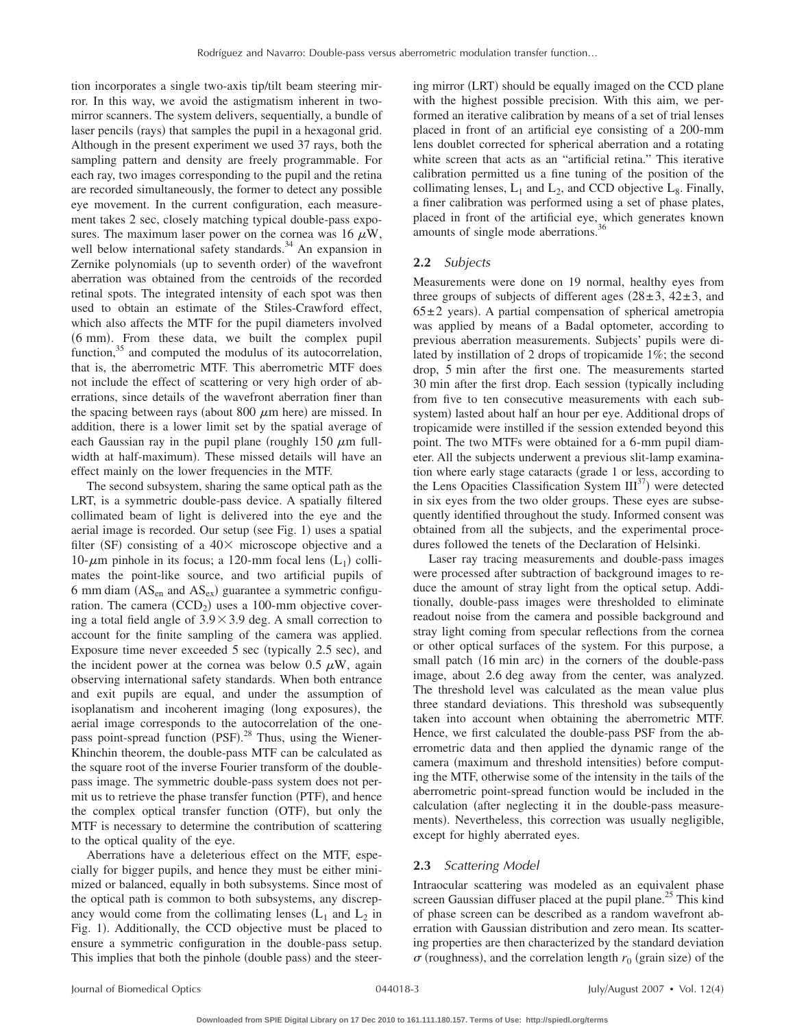tion incorporates a single two-axis tip/tilt beam steering mirror. In this way, we avoid the astigmatism inherent in twomirror scanners. The system delivers, sequentially, a bundle of laser pencils (rays) that samples the pupil in a hexagonal grid. Although in the present experiment we used 37 rays, both the sampling pattern and density are freely programmable. For each ray, two images corresponding to the pupil and the retina are recorded simultaneously, the former to detect any possible eye movement. In the current configuration, each measurement takes 2 sec, closely matching typical double-pass exposures. The maximum laser power on the cornea was 16  $\mu$ W, well below international safety standards.<sup>34</sup> An expansion in Zernike polynomials (up to seventh order) of the wavefront aberration was obtained from the centroids of the recorded retinal spots. The integrated intensity of each spot was then used to obtain an estimate of the Stiles-Crawford effect, which also affects the MTF for the pupil diameters involved (6 mm). From these data, we built the complex pupil function, $35$  and computed the modulus of its autocorrelation, that is, the aberrometric MTF. This aberrometric MTF does not include the effect of scattering or very high order of aberrations, since details of the wavefront aberration finer than the spacing between rays (about  $800 \mu m$  here) are missed. In addition, there is a lower limit set by the spatial average of each Gaussian ray in the pupil plane (roughly  $150 \mu m$  fullwidth at half-maximum). These missed details will have an effect mainly on the lower frequencies in the MTF.

The second subsystem, sharing the same optical path as the LRT, is a symmetric double-pass device. A spatially filtered collimated beam of light is delivered into the eye and the aerial image is recorded. Our setup (see Fig. 1) uses a spatial filter (SF) consisting of a  $40\times$  microscope objective and a 10- $\mu$ m pinhole in its focus; a 120-mm focal lens (L<sub>1</sub>) collimates the point-like source, and two artificial pupils of 6 mm diam  $(AS_{en}$  and  $AS_{ex})$  guarantee a symmetric configuration. The camera  $(CCD_2)$  uses a 100-mm objective covering a total field angle of  $3.9 \times 3.9$  deg. A small correction to account for the finite sampling of the camera was applied. Exposure time never exceeded 5 sec (typically 2.5 sec), and the incident power at the cornea was below 0.5  $\mu$ W, again observing international safety standards. When both entrance and exit pupils are equal, and under the assumption of isoplanatism and incoherent imaging (long exposures), the aerial image corresponds to the autocorrelation of the onepass point-spread function (PSF).<sup>28</sup> Thus, using the Wiener-Khinchin theorem, the double-pass MTF can be calculated as the square root of the inverse Fourier transform of the doublepass image. The symmetric double-pass system does not permit us to retrieve the phase transfer function (PTF), and hence the complex optical transfer function (OTF), but only the MTF is necessary to determine the contribution of scattering to the optical quality of the eye.

Aberrations have a deleterious effect on the MTF, especially for bigger pupils, and hence they must be either minimized or balanced, equally in both subsystems. Since most of the optical path is common to both subsystems, any discrepancy would come from the collimating lenses  $(L_1 \text{ and } L_2 \text{ in})$ Fig. 1). Additionally, the CCD objective must be placed to ensure a symmetric configuration in the double-pass setup. This implies that both the pinhole (double pass) and the steer-

ing mirror (LRT) should be equally imaged on the CCD plane with the highest possible precision. With this aim, we performed an iterative calibration by means of a set of trial lenses placed in front of an artificial eye consisting of a 200-mm lens doublet corrected for spherical aberration and a rotating white screen that acts as an "artificial retina." This iterative calibration permitted us a fine tuning of the position of the collimating lenses,  $L_1$  and  $L_2$ , and CCD objective  $L_8$ . Finally, a finer calibration was performed using a set of phase plates, placed in front of the artificial eye, which generates known amounts of single mode aberrations.<sup>36</sup>

#### **2.2** *Subjects*

Measurements were done on 19 normal, healthy eyes from three groups of subjects of different ages  $(28±3, 42±3,$  and  $65±2$  years). A partial compensation of spherical ametropia was applied by means of a Badal optometer, according to previous aberration measurements. Subjects' pupils were dilated by instillation of 2 drops of tropicamide 1%; the second drop, 5 min after the first one. The measurements started 30 min after the first drop. Each session (typically including from five to ten consecutive measurements with each subsystem) lasted about half an hour per eye. Additional drops of tropicamide were instilled if the session extended beyond this point. The two MTFs were obtained for a 6-mm pupil diameter. All the subjects underwent a previous slit-lamp examination where early stage cataracts grade 1 or less, according to the Lens Opacities Classification System  $III^{37}$ ) were detected in six eyes from the two older groups. These eyes are subsequently identified throughout the study. Informed consent was obtained from all the subjects, and the experimental procedures followed the tenets of the Declaration of Helsinki.

Laser ray tracing measurements and double-pass images were processed after subtraction of background images to reduce the amount of stray light from the optical setup. Additionally, double-pass images were thresholded to eliminate readout noise from the camera and possible background and stray light coming from specular reflections from the cornea or other optical surfaces of the system. For this purpose, a small patch (16 min arc) in the corners of the double-pass image, about 2.6 deg away from the center, was analyzed. The threshold level was calculated as the mean value plus three standard deviations. This threshold was subsequently taken into account when obtaining the aberrometric MTF. Hence, we first calculated the double-pass PSF from the aberrometric data and then applied the dynamic range of the camera (maximum and threshold intensities) before computing the MTF, otherwise some of the intensity in the tails of the aberrometric point-spread function would be included in the calculation (after neglecting it in the double-pass measurements). Nevertheless, this correction was usually negligible, except for highly aberrated eyes.

#### **2.3** *Scattering Model*

Intraocular scattering was modeled as an equivalent phase screen Gaussian diffuser placed at the pupil plane.<sup>25</sup> This kind of phase screen can be described as a random wavefront aberration with Gaussian distribution and zero mean. Its scattering properties are then characterized by the standard deviation  $\sigma$  (roughness), and the correlation length  $r_0$  (grain size) of the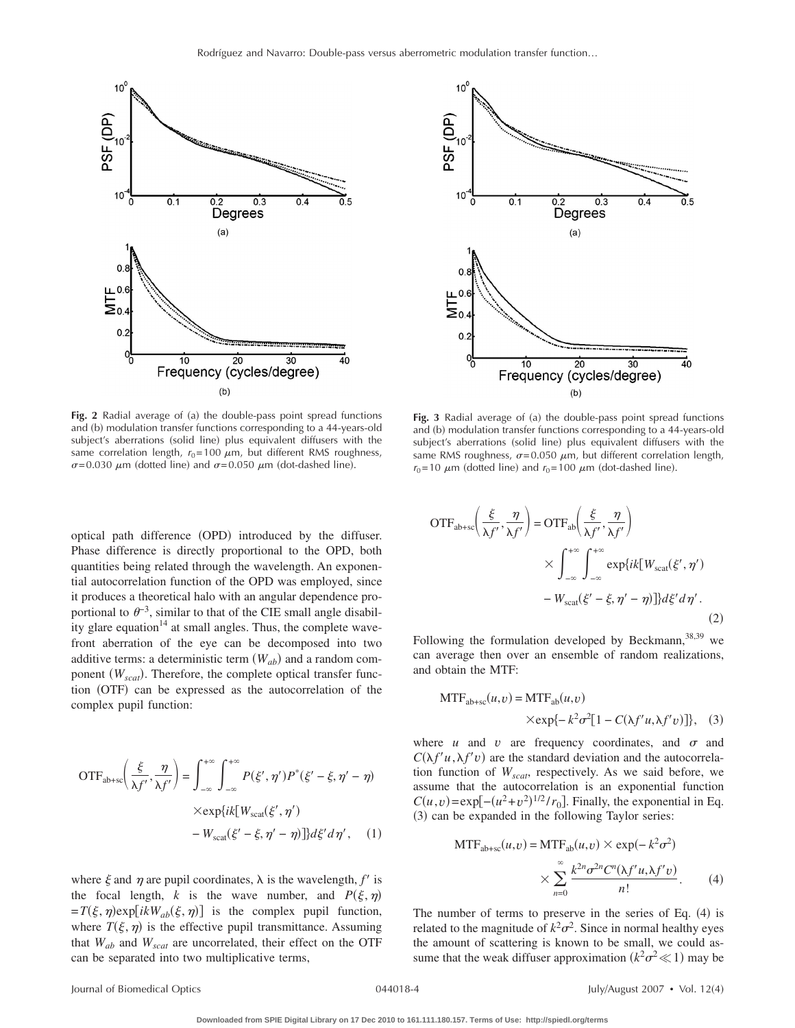

Fig. 2 Radial average of (a) the double-pass point spread functions and (b) modulation transfer functions corresponding to a 44-years-old subject's aberrations (solid line) plus equivalent diffusers with the same correlation length,  $r_0$ =100  $\mu$ m, but different RMS roughness,  $\sigma$ =0.030  $\mu$ m (dotted line) and  $\sigma$ =0.050  $\mu$ m (dot-dashed line).

optical path difference (OPD) introduced by the diffuser. Phase difference is directly proportional to the OPD, both quantities being related through the wavelength. An exponential autocorrelation function of the OPD was employed, since it produces a theoretical halo with an angular dependence proportional to  $\theta^{-3}$ , similar to that of the CIE small angle disability glare equation $14$  at small angles. Thus, the complete wavefront aberration of the eye can be decomposed into two additive terms: a deterministic term  $(W_{ab})$  and a random component ( $W_{scat}$ ). Therefore, the complete optical transfer function (OTF) can be expressed as the autocorrelation of the complex pupil function:

$$
OTFab+sc\left(\frac{\xi}{\lambda f'}, \frac{\eta}{\lambda f'}\right) = \int_{-\infty}^{+\infty} \int_{-\infty}^{+\infty} P(\xi', \eta') P^*(\xi' - \xi, \eta' - \eta)
$$

$$
\times \exp\{ik[Wscat(\xi', \eta') - Wscat(\xi' - \xi, \eta' - \eta)]\} d\xi' d\eta', \quad (1)
$$

where  $\xi$  and  $\eta$  are pupil coordinates,  $\lambda$  is the wavelength,  $f'$  is the focal length, *k* is the wave number, and  $P(\xi, \eta)$  $=T(\xi,\eta) \exp[ikW_{ab}(\xi,\eta)]$  is the complex pupil function, where  $T(\xi, \eta)$  is the effective pupil transmittance. Assuming that  $W_{ab}$  and  $W_{scat}$  are uncorrelated, their effect on the OTF can be separated into two multiplicative terms,



Fig. 3 Radial average of (a) the double-pass point spread functions and (b) modulation transfer functions corresponding to a 44-years-old subject's aberrations (solid line) plus equivalent diffusers with the same RMS roughness,  $\sigma$ =0.050  $\mu$ m, but different correlation length,  $r_0$ =10  $\mu$ m (dotted line) and  $r_0$ =100  $\mu$ m (dot-dashed line).

$$
OTFab+sc\left(\frac{\xi}{\lambda f'}, \frac{\eta}{\lambda f'}\right) = OTFab\left(\frac{\xi}{\lambda f'}, \frac{\eta}{\lambda f'}\right)
$$

$$
\times \int_{-\infty}^{+\infty} \int_{-\infty}^{+\infty} \exp\{ik[W_{scat}(\xi', \eta') - W_{scat}(\xi' - \xi, \eta' - \eta)]\} d\xi' d\eta'.
$$
(2)

Following the formulation developed by Beckmann,  $38,39$  we can average then over an ensemble of random realizations, and obtain the MTF:

$$
MTFab+sc(u, v) = MTFab(u, v)
$$
  
×exp{- $k^2\sigma^2[1 - C(\lambda f' u, \lambda f' v)]$ }, (3)

where  $u$  and  $v$  are frequency coordinates, and  $\sigma$  and  $C(\lambda f'u, \lambda f'v)$  are the standard deviation and the autocorrelation function of  $W_{scat}$ , respectively. As we said before, we assume that the autocorrelation is an exponential function  $C(u, v) = \exp[-(u^2 + v^2)^{1/2} / r_0]$ . Finally, the exponential in Eq. (3) can be expanded in the following Taylor series:

$$
MTFab+sc(u, v) = MTFab(u, v) \times \exp(-k^2 \sigma^2)
$$

$$
\times \sum_{n=0}^{\infty} \frac{k^{2n} \sigma^{2n} C^n (\lambda f' u, \lambda f' v)}{n!}.
$$
 (4)

The number of terms to preserve in the series of Eq.  $(4)$  is related to the magnitude of  $k^2\sigma^2$ . Since in normal healthy eyes the amount of scattering is known to be small, we could assume that the weak diffuser approximation  $(k^2\sigma^2 \ll 1)$  may be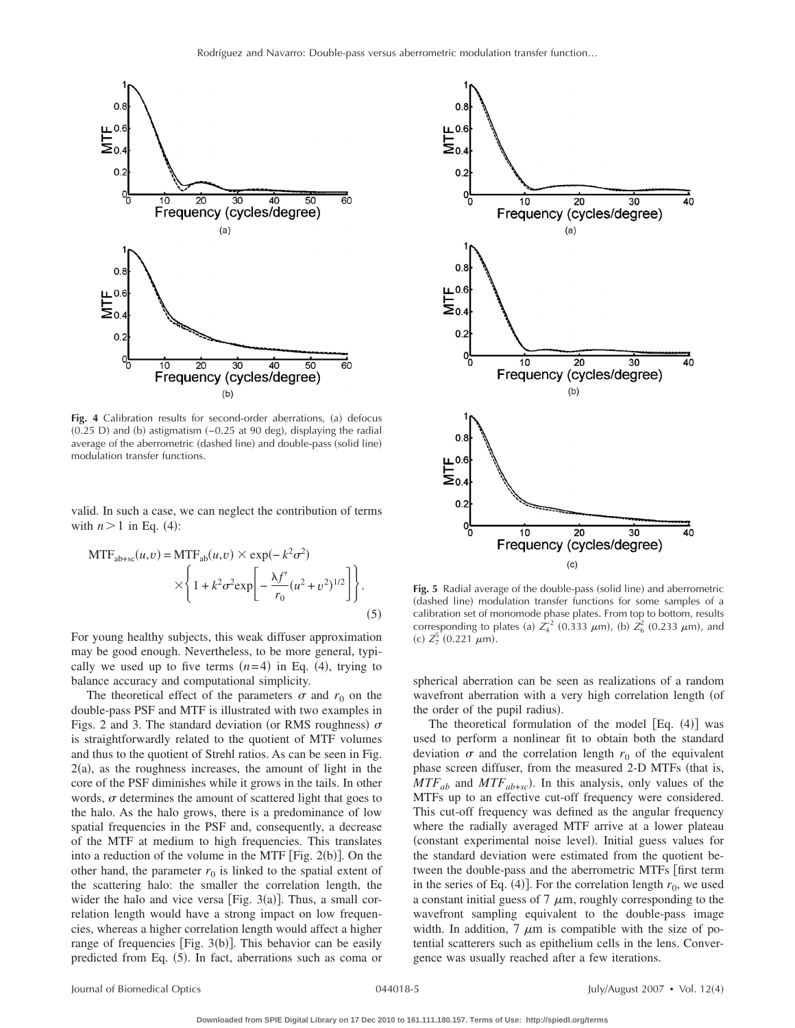

Fig. 4 Calibration results for second-order aberrations, (a) defocus  $(0.25 \text{ D})$  and  $(b)$  astigmatism  $(-0.25 \text{ at } 90 \text{ deg})$ , displaying the radial average of the aberrometric (dashed line) and double-pass (solid line) modulation transfer functions.

valid. In such a case, we can neglect the contribution of terms with  $n > 1$  in Eq. (4):

$$
MTFab+sc(u, v) = MTFab(u, v) \times \exp(-k^2 \sigma^2)
$$

$$
\times \left\{ 1 + k^2 \sigma^2 \exp\left[ -\frac{\lambda f'}{r_0} (u^2 + v^2)^{1/2} \right] \right\}.
$$
(5)

For young healthy subjects, this weak diffuser approximation may be good enough. Nevertheless, to be more general, typically we used up to five terms  $(n=4)$  in Eq. (4), trying to balance accuracy and computational simplicity.

The theoretical effect of the parameters  $\sigma$  and  $r_0$  on the double-pass PSF and MTF is illustrated with two examples in Figs. 2 and 3. The standard deviation (or RMS roughness)  $\sigma$ is straightforwardly related to the quotient of MTF volumes and thus to the quotient of Strehl ratios. As can be seen in Fig.  $2(a)$ , as the roughness increases, the amount of light in the core of the PSF diminishes while it grows in the tails. In other words,  $\sigma$  determines the amount of scattered light that goes to the halo. As the halo grows, there is a predominance of low spatial frequencies in the PSF and, consequently, a decrease of the MTF at medium to high frequencies. This translates into a reduction of the volume in the MTF  $[Fig. 2(b)].$  On the other hand, the parameter  $r_0$  is linked to the spatial extent of the scattering halo: the smaller the correlation length, the wider the halo and vice versa [Fig.  $3(a)$ ]. Thus, a small correlation length would have a strong impact on low frequencies, whereas a higher correlation length would affect a higher range of frequencies [Fig. 3(b)]. This behavior can be easily predicted from Eq. (5). In fact, aberrations such as coma or



Fig. 5 Radial average of the double-pass (solid line) and aberrometric (dashed line) modulation transfer functions for some samples of a calibration set of monomode phase plates. From top to bottom, results corresponding to plates (a)  $Z_4^2$  (0.333  $\mu$ m), (b)  $Z_6^2$  (0.233  $\mu$ m), and (c)  $Z_7^5$  (0.221  $\mu$ m).

spherical aberration can be seen as realizations of a random wavefront aberration with a very high correlation length (of the order of the pupil radius).

The theoretical formulation of the model  $[Eq. (4)]$  was used to perform a nonlinear fit to obtain both the standard deviation  $\sigma$  and the correlation length  $r_0$  of the equivalent phase screen diffuser, from the measured 2-D MTFs (that is,  $MTF_{ab}$  and  $MTF_{ab+sc}$ ). In this analysis, only values of the MTFs up to an effective cut-off frequency were considered. This cut-off frequency was defined as the angular frequency where the radially averaged MTF arrive at a lower plateau (constant experimental noise level). Initial guess values for the standard deviation were estimated from the quotient between the double-pass and the aberrometric MTFs [first term in the series of Eq.  $(4)$ ]. For the correlation length  $r_0$ , we used a constant initial guess of 7  $\mu$ m, roughly corresponding to the wavefront sampling equivalent to the double-pass image width. In addition,  $7 \mu m$  is compatible with the size of potential scatterers such as epithelium cells in the lens. Convergence was usually reached after a few iterations.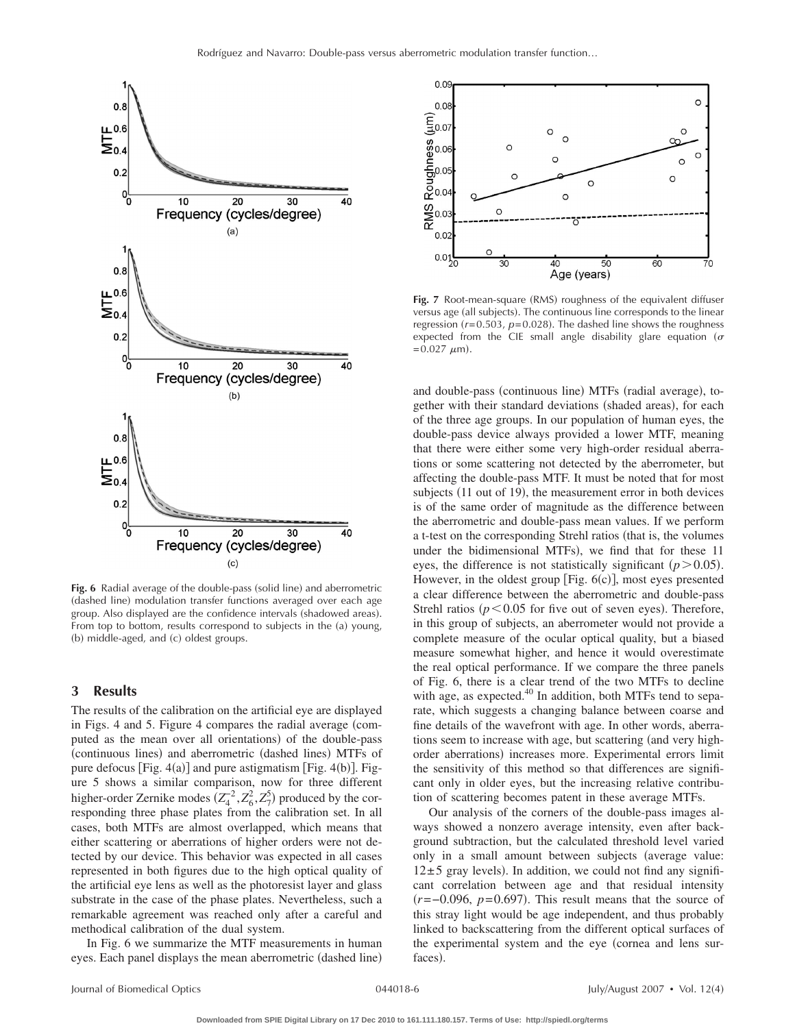

Fig. 6 Radial average of the double-pass (solid line) and aberrometric (dashed line) modulation transfer functions averaged over each age group. Also displayed are the confidence intervals (shadowed areas). From top to bottom, results correspond to subjects in the (a) young, (b) middle-aged, and (c) oldest groups.

# **3 Results**

The results of the calibration on the artificial eye are displayed in Figs. 4 and 5. Figure 4 compares the radial average (computed as the mean over all orientations) of the double-pass (continuous lines) and aberrometric (dashed lines) MTFs of pure defocus  $[Fig. 4(a)]$  and pure astigmatism  $[Fig. 4(b)].$  Figure 5 shows a similar comparison, now for three different higher-order Zernike modes  $(Z_4^2, Z_6^2, Z_7^5)$  produced by the corresponding three phase plates from the calibration set. In all cases, both MTFs are almost overlapped, which means that either scattering or aberrations of higher orders were not detected by our device. This behavior was expected in all cases represented in both figures due to the high optical quality of the artificial eye lens as well as the photoresist layer and glass substrate in the case of the phase plates. Nevertheless, such a remarkable agreement was reached only after a careful and methodical calibration of the dual system.

In Fig. 6 we summarize the MTF measurements in human eyes. Each panel displays the mean aberrometric (dashed line)



**Fig. 7** Root-mean-square (RMS) roughness of the equivalent diffuser versus age (all subjects). The continuous line corresponds to the linear regression  $(r=0.503, p=0.028)$ . The dashed line shows the roughness expected from the CIE small angle disability glare equation ( $\sigma$  $= 0.027 \mu m$ ).

and double-pass (continuous line) MTFs (radial average), together with their standard deviations (shaded areas), for each of the three age groups. In our population of human eyes, the double-pass device always provided a lower MTF, meaning that there were either some very high-order residual aberrations or some scattering not detected by the aberrometer, but affecting the double-pass MTF. It must be noted that for most subjects (11 out of 19), the measurement error in both devices is of the same order of magnitude as the difference between the aberrometric and double-pass mean values. If we perform a t-test on the corresponding Strehl ratios (that is, the volumes under the bidimensional MTFs), we find that for these 11 eyes, the difference is not statistically significant  $(p > 0.05)$ . However, in the oldest group [Fig.  $6(c)$ ], most eyes presented a clear difference between the aberrometric and double-pass Strehl ratios ( $p < 0.05$  for five out of seven eyes). Therefore, in this group of subjects, an aberrometer would not provide a complete measure of the ocular optical quality, but a biased measure somewhat higher, and hence it would overestimate the real optical performance. If we compare the three panels of Fig. 6, there is a clear trend of the two MTFs to decline with age, as expected.<sup>40</sup> In addition, both MTFs tend to separate, which suggests a changing balance between coarse and fine details of the wavefront with age. In other words, aberrations seem to increase with age, but scattering (and very highorder aberrations) increases more. Experimental errors limit the sensitivity of this method so that differences are significant only in older eyes, but the increasing relative contribution of scattering becomes patent in these average MTFs.

Our analysis of the corners of the double-pass images always showed a nonzero average intensity, even after background subtraction, but the calculated threshold level varied only in a small amount between subjects (average value:  $12\pm5$  gray levels). In addition, we could not find any significant correlation between age and that residual intensity  $(r=-0.096, p=0.697)$ . This result means that the source of this stray light would be age independent, and thus probably linked to backscattering from the different optical surfaces of the experimental system and the eye (cornea and lens surfaces).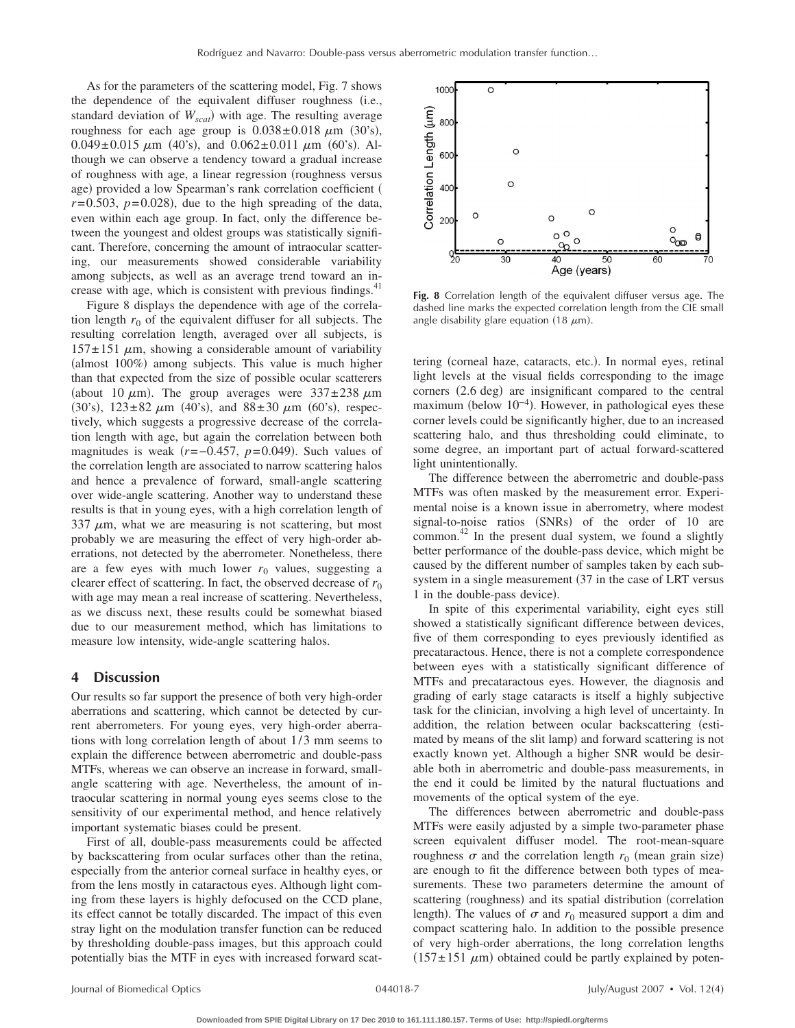As for the parameters of the scattering model, Fig. 7 shows the dependence of the equivalent diffuser roughness (i.e., standard deviation of  $W_{scat}$ ) with age. The resulting average roughness for each age group is  $0.038 \pm 0.018 \mu m$  (30's),  $0.049 \pm 0.015 \mu m$  (40's), and  $0.062 \pm 0.011 \mu m$  (60's). Although we can observe a tendency toward a gradual increase of roughness with age, a linear regression (roughness versus age) provided a low Spearman's rank correlation coefficient (  $r = 0.503$ ,  $p = 0.028$ ), due to the high spreading of the data, even within each age group. In fact, only the difference between the youngest and oldest groups was statistically significant. Therefore, concerning the amount of intraocular scattering, our measurements showed considerable variability among subjects, as well as an average trend toward an increase with age, which is consistent with previous findings. $41$ 

Figure 8 displays the dependence with age of the correlation length  $r_0$  of the equivalent diffuser for all subjects. The resulting correlation length, averaged over all subjects, is  $157 \pm 151$   $\mu$ m, showing a considerable amount of variability (almost 100%) among subjects. This value is much higher than that expected from the size of possible ocular scatterers (about 10  $\mu$ m). The group averages were 337 $\pm$ 238  $\mu$ m (30's),  $123 \pm 82 \mu m$  (40's), and  $88 \pm 30 \mu m$  (60's), respectively, which suggests a progressive decrease of the correlation length with age, but again the correlation between both magnitudes is weak  $(r=-0.457, p=0.049)$ . Such values of the correlation length are associated to narrow scattering halos and hence a prevalence of forward, small-angle scattering over wide-angle scattering. Another way to understand these results is that in young eyes, with a high correlation length of 337  $\mu$ m, what we are measuring is not scattering, but most probably we are measuring the effect of very high-order aberrations, not detected by the aberrometer. Nonetheless, there are a few eyes with much lower  $r_0$  values, suggesting a clearer effect of scattering. In fact, the observed decrease of  $r_0$ with age may mean a real increase of scattering. Nevertheless, as we discuss next, these results could be somewhat biased due to our measurement method, which has limitations to measure low intensity, wide-angle scattering halos.

### **4 Discussion**

Our results so far support the presence of both very high-order aberrations and scattering, which cannot be detected by current aberrometers. For young eyes, very high-order aberrations with long correlation length of about 1/3 mm seems to explain the difference between aberrometric and double-pass MTFs, whereas we can observe an increase in forward, smallangle scattering with age. Nevertheless, the amount of intraocular scattering in normal young eyes seems close to the sensitivity of our experimental method, and hence relatively important systematic biases could be present.

First of all, double-pass measurements could be affected by backscattering from ocular surfaces other than the retina, especially from the anterior corneal surface in healthy eyes, or from the lens mostly in cataractous eyes. Although light coming from these layers is highly defocused on the CCD plane, its effect cannot be totally discarded. The impact of this even stray light on the modulation transfer function can be reduced by thresholding double-pass images, but this approach could potentially bias the MTF in eyes with increased forward scat-



**Fig. 8** Correlation length of the equivalent diffuser versus age. The dashed line marks the expected correlation length from the CIE small angle disability glare equation (18  $\mu$ m).

tering (corneal haze, cataracts, etc.). In normal eyes, retinal light levels at the visual fields corresponding to the image corners (2.6 deg) are insignificant compared to the central maximum (below 10<sup>-4</sup>). However, in pathological eyes these corner levels could be significantly higher, due to an increased scattering halo, and thus thresholding could eliminate, to some degree, an important part of actual forward-scattered light unintentionally.

The difference between the aberrometric and double-pass MTFs was often masked by the measurement error. Experimental noise is a known issue in aberrometry, where modest signal-to-noise ratios (SNRs) of the order of 10 are common.<sup>42</sup> In the present dual system, we found a slightly better performance of the double-pass device, which might be caused by the different number of samples taken by each subsystem in a single measurement (37 in the case of LRT versus 1 in the double-pass device).

In spite of this experimental variability, eight eyes still showed a statistically significant difference between devices, five of them corresponding to eyes previously identified as precataractous. Hence, there is not a complete correspondence between eyes with a statistically significant difference of MTFs and precataractous eyes. However, the diagnosis and grading of early stage cataracts is itself a highly subjective task for the clinician, involving a high level of uncertainty. In addition, the relation between ocular backscattering (estimated by means of the slit lamp) and forward scattering is not exactly known yet. Although a higher SNR would be desirable both in aberrometric and double-pass measurements, in the end it could be limited by the natural fluctuations and movements of the optical system of the eye.

The differences between aberrometric and double-pass MTFs were easily adjusted by a simple two-parameter phase screen equivalent diffuser model. The root-mean-square roughness  $\sigma$  and the correlation length  $r_0$  (mean grain size) are enough to fit the difference between both types of measurements. These two parameters determine the amount of scattering (roughness) and its spatial distribution (correlation length). The values of  $\sigma$  and  $r_0$  measured support a dim and compact scattering halo. In addition to the possible presence of very high-order aberrations, the long correlation lengths  $(157 \pm 151 \mu m)$  obtained could be partly explained by poten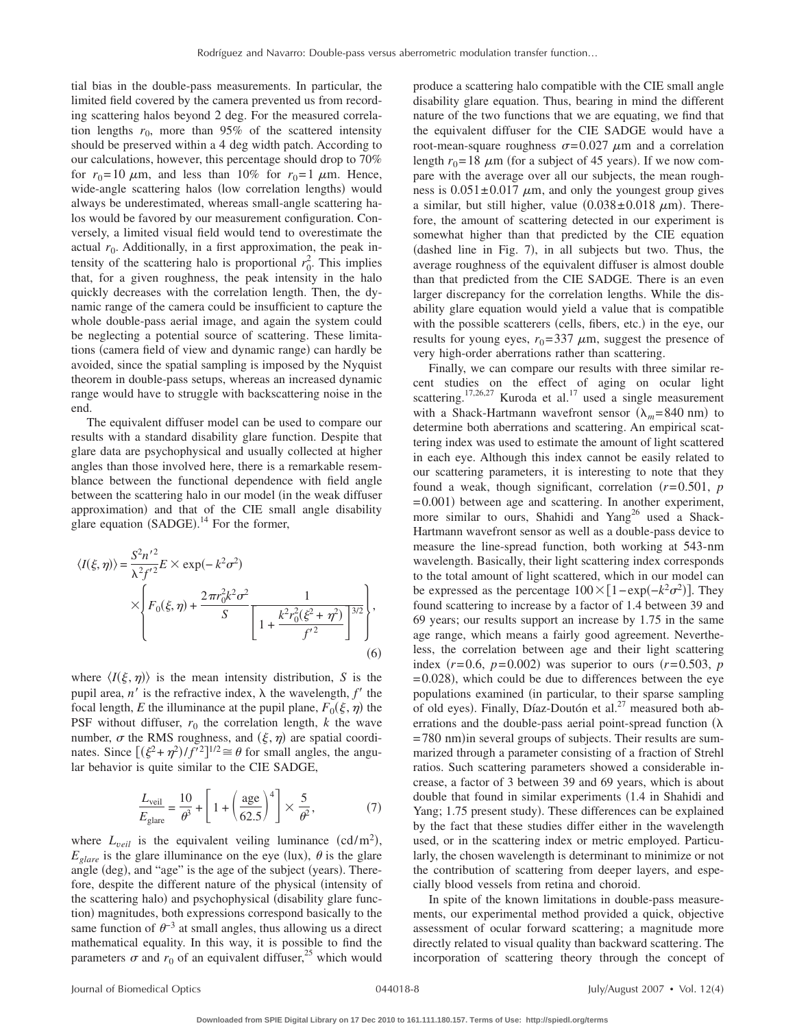tial bias in the double-pass measurements. In particular, the limited field covered by the camera prevented us from recording scattering halos beyond 2 deg. For the measured correlation lengths  $r_0$ , more than 95% of the scattered intensity should be preserved within a 4 deg width patch. According to our calculations, however, this percentage should drop to 70% for  $r_0 = 10 \mu m$ , and less than 10% for  $r_0 = 1 \mu m$ . Hence, wide-angle scattering halos (low correlation lengths) would always be underestimated, whereas small-angle scattering halos would be favored by our measurement configuration. Conversely, a limited visual field would tend to overestimate the actual  $r_0$ . Additionally, in a first approximation, the peak intensity of the scattering halo is proportional  $r_0^2$ . This implies that, for a given roughness, the peak intensity in the halo quickly decreases with the correlation length. Then, the dynamic range of the camera could be insufficient to capture the whole double-pass aerial image, and again the system could be neglecting a potential source of scattering. These limitations (camera field of view and dynamic range) can hardly be avoided, since the spatial sampling is imposed by the Nyquist theorem in double-pass setups, whereas an increased dynamic range would have to struggle with backscattering noise in the end.

The equivalent diffuser model can be used to compare our results with a standard disability glare function. Despite that glare data are psychophysical and usually collected at higher angles than those involved here, there is a remarkable resemblance between the functional dependence with field angle between the scattering halo in our model (in the weak diffuser approximation) and that of the CIE small angle disability glare equation  $(SADE)$ .<sup>14</sup> For the former,

$$
\langle I(\xi,\eta) \rangle = \frac{S^2 n'^2}{\lambda^2 f'^2} E \times \exp(-k^2 \sigma^2)
$$
  
 
$$
\times \left\{ F_0(\xi,\eta) + \frac{2\pi r_0^2 k^2 \sigma^2}{S} \left[ 1 + \frac{k^2 r_0^2 (\xi^2 + \eta^2)}{f'^2} \right]^{3/2} \right\},
$$
  
(6)

where  $\langle I(\xi, \eta) \rangle$  is the mean intensity distribution, *S* is the pupil area,  $n'$  is the refractive index,  $\lambda$  the wavelength,  $f'$  the focal length, *E* the illuminance at the pupil plane,  $F_0(\xi, \eta)$  the PSF without diffuser,  $r_0$  the correlation length,  $k$  the wave number,  $\sigma$  the RMS roughness, and  $(\xi, \eta)$  are spatial coordinates. Since  $[(\xi^2 + \eta^2)/f'^2]^{1/2} \cong \theta$  for small angles, the angular behavior is quite similar to the CIE SADGE,

$$
\frac{L_{\text{veil}}}{E_{\text{glare}}} = \frac{10}{\theta^3} + \left[1 + \left(\frac{\text{age}}{62.5}\right)^4\right] \times \frac{5}{\theta^2},\tag{7}
$$

where  $L_{\text{vel}}$  is the equivalent veiling luminance  $(\text{cd/m}^2)$ ,  $E_{\text{glare}}$  is the glare illuminance on the eye (lux),  $\theta$  is the glare angle (deg), and "age" is the age of the subject (years). Therefore, despite the different nature of the physical (intensity of the scattering halo) and psychophysical (disability glare function) magnitudes, both expressions correspond basically to the same function of  $\theta^{-3}$  at small angles, thus allowing us a direct mathematical equality. In this way, it is possible to find the parameters  $\sigma$  and  $r_0$  of an equivalent diffuser,<sup>25</sup> which would

produce a scattering halo compatible with the CIE small angle disability glare equation. Thus, bearing in mind the different nature of the two functions that we are equating, we find that the equivalent diffuser for the CIE SADGE would have a root-mean-square roughness  $\sigma = 0.027 \mu m$  and a correlation length  $r_0 = 18 \mu m$  (for a subject of 45 years). If we now compare with the average over all our subjects, the mean roughness is  $0.051 \pm 0.017$   $\mu$ m, and only the youngest group gives a similar, but still higher, value  $(0.038 \pm 0.018 \ \mu m)$ . Therefore, the amount of scattering detected in our experiment is somewhat higher than that predicted by the CIE equation (dashed line in Fig. 7), in all subjects but two. Thus, the average roughness of the equivalent diffuser is almost double than that predicted from the CIE SADGE. There is an even larger discrepancy for the correlation lengths. While the disability glare equation would yield a value that is compatible with the possible scatterers (cells, fibers, etc.) in the eye, our results for young eyes,  $r_0 = 337 \mu m$ , suggest the presence of very high-order aberrations rather than scattering.

Finally, we can compare our results with three similar recent studies on the effect of aging on ocular light scattering.<sup>17,26,27</sup> Kuroda et al.<sup>17</sup> used a single measurement with a Shack-Hartmann wavefront sensor  $(\lambda_m = 840 \text{ nm})$  to determine both aberrations and scattering. An empirical scattering index was used to estimate the amount of light scattered in each eye. Although this index cannot be easily related to our scattering parameters, it is interesting to note that they found a weak, though significant, correlation  $(r=0.501, p)$ = 0.001) between age and scattering. In another experiment, more similar to ours, Shahidi and Yang<sup>26</sup> used a Shack-Hartmann wavefront sensor as well as a double-pass device to measure the line-spread function, both working at 543-nm wavelength. Basically, their light scattering index corresponds to the total amount of light scattered, which in our model can be expressed as the percentage  $100 \times [1 - \exp(-k^2 \sigma^2)]$ . They found scattering to increase by a factor of 1.4 between 39 and 69 years; our results support an increase by 1.75 in the same age range, which means a fairly good agreement. Nevertheless, the correlation between age and their light scattering index  $(r=0.6, p=0.002)$  was superior to ours  $(r=0.503, p)$  $= 0.028$ ), which could be due to differences between the eye populations examined (in particular, to their sparse sampling of old eyes). Finally, Díaz-Doutón et al.<sup>27</sup> measured both aberrations and the double-pass aerial point-spread function  $(\lambda)$ = 780 nm) in several groups of subjects. Their results are summarized through a parameter consisting of a fraction of Strehl ratios. Such scattering parameters showed a considerable increase, a factor of 3 between 39 and 69 years, which is about double that found in similar experiments  $(1.4$  in Shahidi and Yang; 1.75 present study). These differences can be explained by the fact that these studies differ either in the wavelength used, or in the scattering index or metric employed. Particularly, the chosen wavelength is determinant to minimize or not the contribution of scattering from deeper layers, and especially blood vessels from retina and choroid.

In spite of the known limitations in double-pass measurements, our experimental method provided a quick, objective assessment of ocular forward scattering; a magnitude more directly related to visual quality than backward scattering. The incorporation of scattering theory through the concept of